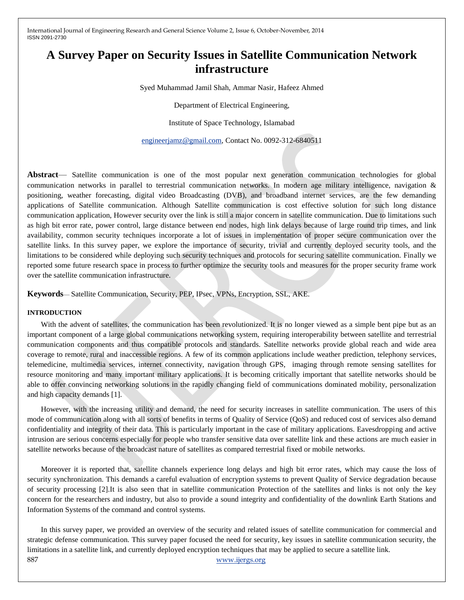# **A Survey Paper on Security Issues in Satellite Communication Network infrastructure**

Syed Muhammad Jamil Shah, Ammar Nasir, Hafeez Ahmed

Department of Electrical Engineering,

Institute of Space Technology, Islamabad

[engineerjamz@gmail.com,](mailto:engineerjamz@gmail.com) Contact No. 0092-312-6840511

**Abstract**— Satellite communication is one of the most popular next generation communication technologies for global communication networks in parallel to terrestrial communication networks. In modern age military intelligence, navigation  $\&$ positioning, weather forecasting, digital video Broadcasting (DVB), and broadband internet services, are the few demanding applications of Satellite communication. Although Satellite communication is cost effective solution for such long distance communication application, However security over the link is still a major concern in satellite communication. Due to limitations such as high bit error rate, power control, large distance between end nodes, high link delays because of large round trip times, and link availability, common security techniques incorporate a lot of issues in implementation of proper secure communication over the satellite links. In this survey paper, we explore the importance of security, trivial and currently deployed security tools, and the limitations to be considered while deploying such security techniques and protocols for securing satellite communication. Finally we reported some future research space in process to further optimize the security tools and measures for the proper security frame work over the satellite communication infrastructure.

**Keywords**— Satellite Communication, Security, PEP, IPsec, VPNs, Encryption, SSL, AKE.

#### **INTRODUCTION**

With the advent of satellites, the communication has been revolutionized. It is no longer viewed as a simple bent pipe but as an important component of a large global communications networking system, requiring interoperability between satellite and terrestrial communication components and thus compatible protocols and standards. Satellite networks provide global reach and wide area coverage to remote, rural and inaccessible regions. A few of its common applications include weather prediction, telephony services, telemedicine, multimedia services, internet connectivity, navigation through GPS, imaging through remote sensing satellites for resource monitoring and many important military applications. It is becoming critically important that satellite networks should be able to offer convincing networking solutions in the rapidly changing field of communications dominated mobility, personalization and high capacity demands [1].

However, with the increasing utility and demand, the need for security increases in satellite communication. The users of this mode of communication along with all sorts of benefits in terms of Quality of Service (QoS) and reduced cost of services also demand confidentiality and integrity of their data. This is particularly important in the case of military applications. Eavesdropping and active intrusion are serious concerns especially for people who transfer sensitive data over satellite link and these actions are much easier in satellite networks because of the broadcast nature of satellites as compared terrestrial fixed or mobile networks.

Moreover it is reported that, satellite channels experience long delays and high bit error rates, which may cause the loss of security synchronization. This demands a careful evaluation of encryption systems to prevent Quality of Service degradation because of security processing [2].It is also seen that in satellite communication Protection of the satellites and links is not only the key concern for the researchers and industry, but also to provide a sound integrity and confidentiality of the downlink Earth Stations and Information Systems of the command and control systems.

887 www.ijergs.org In this survey paper, we provided an overview of the security and related issues of satellite communication for commercial and strategic defense communication. This survey paper focused the need for security, key issues in satellite communication security, the limitations in a satellite link, and currently deployed encryption techniques that may be applied to secure a satellite link.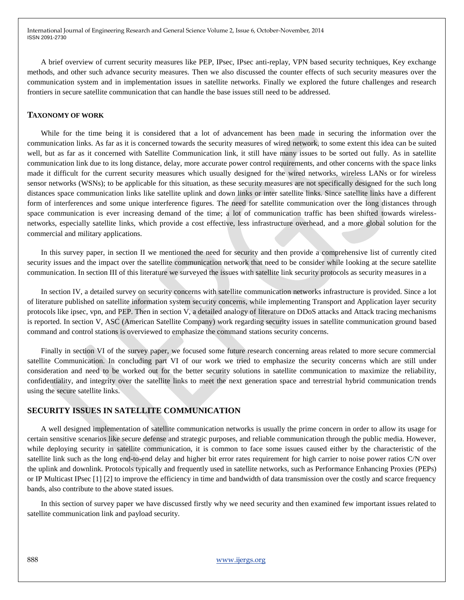A brief overview of current security measures like PEP, IPsec, IPsec anti-replay, VPN based security techniques, Key exchange methods, and other such advance security measures. Then we also discussed the counter effects of such security measures over the communication system and in implementation issues in satellite networks. Finally we explored the future challenges and research frontiers in secure satellite communication that can handle the base issues still need to be addressed.

#### **TAXONOMY OF WORK**

While for the time being it is considered that a lot of advancement has been made in securing the information over the communication links. As far as it is concerned towards the security measures of wired network, to some extent this idea can be suited well, but as far as it concerned with Satellite Communication link, it still have many issues to be sorted out fully. As in satellite communication link due to its long distance, delay, more accurate power control requirements, and other concerns with the space links made it difficult for the current security measures which usually designed for the wired networks, wireless LANs or for wireless sensor networks (WSNs); to be applicable for this situation, as these security measures are not specifically designed for the such long distances space communication links like satellite uplink and down links or inter satellite links. Since satellite links have a different form of interferences and some unique interference figures. The need for satellite communication over the long distances through space communication is ever increasing demand of the time; a lot of communication traffic has been shifted towards wirelessnetworks, especially satellite links, which provide a cost effective, less infrastructure overhead, and a more global solution for the commercial and military applications.

In this survey paper, in section II we mentioned the need for security and then provide a comprehensive list of currently cited security issues and the impact over the satellite communication network that need to be consider while looking at the secure satellite communication. In section III of this literature we surveyed the issues with satellite link security protocols as security measures in a

In section IV, a detailed survey on security concerns with satellite communication networks infrastructure is provided. Since a lot of literature published on satellite information system security concerns, while implementing Transport and Application layer security protocols like ipsec, vpn, and PEP. Then in section V, a detailed analogy of literature on DDoS attacks and Attack tracing mechanisms is reported. In section V, ASC (American Satellite Company) work regarding security issues in satellite communication ground based command and control stations is overviewed to emphasize the command stations security concerns.

Finally in section VI of the survey paper, we focused some future research concerning areas related to more secure commercial satellite Communication. In concluding part VI of our work we tried to emphasize the security concerns which are still under consideration and need to be worked out for the better security solutions in satellite communication to maximize the reliability, confidentiality, and integrity over the satellite links to meet the next generation space and terrestrial hybrid communication trends using the secure satellite links.

#### **SECURITY ISSUES IN SATELLITE COMMUNICATION**

A well designed implementation of satellite communication networks is usually the prime concern in order to allow its usage for certain sensitive scenarios like secure defense and strategic purposes, and reliable communication through the public media. However, while deploying security in satellite communication, it is common to face some issues caused either by the characteristic of the satellite link such as the long end-to-end delay and higher bit error rates requirement for high carrier to noise power ratios C/N over the uplink and downlink. Protocols typically and frequently used in satellite networks, such as Performance Enhancing Proxies (PEPs) or IP Multicast IPsec [1] [2] to improve the efficiency in time and bandwidth of data transmission over the costly and scarce frequency bands, also contribute to the above stated issues.

In this section of survey paper we have discussed firstly why we need security and then examined few important issues related to satellite communication link and payload security.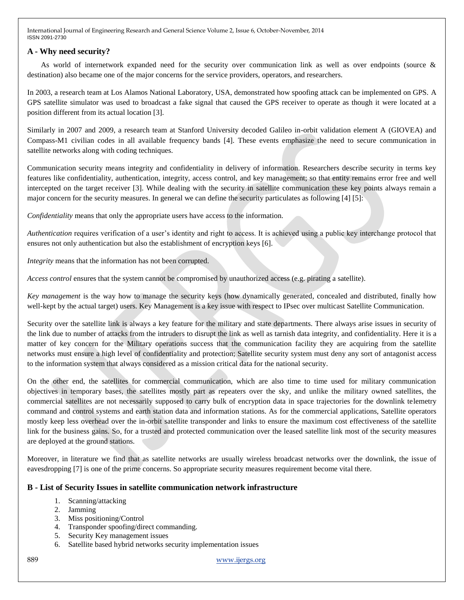# **A - Why need security?**

As world of internetwork expanded need for the security over communication link as well as over endpoints (source & destination) also became one of the major concerns for the service providers, operators, and researchers.

In 2003, a research team at Los Alamos National Laboratory, USA, demonstrated how spoofing attack can be implemented on GPS. A GPS satellite simulator was used to broadcast a fake signal that caused the GPS receiver to operate as though it were located at a position different from its actual location [3].

Similarly in 2007 and 2009, a research team at Stanford University decoded Galileo in-orbit validation element A (GIOVEA) and Compass-M1 civilian codes in all available frequency bands [4]. These events emphasize the need to secure communication in satellite networks along with coding techniques.

Communication security means integrity and confidentiality in delivery of information. Researchers describe security in terms key features like confidentiality, authentication, integrity, access control, and key management; so that entity remains error free and well intercepted on the target receiver [3]. While dealing with the security in satellite communication these key points always remain a major concern for the security measures. In general we can define the security particulates as following [4] [5]:

*Confidentiality* means that only the appropriate users have access to the information.

*Authentication* requires verification of a user's identity and right to access. It is achieved using a public key interchange protocol that ensures not only authentication but also the establishment of encryption keys [6].

*Integrity* means that the information has not been corrupted.

*Access control* ensures that the system cannot be compromised by unauthorized access (e.g. pirating a satellite).

*Key management* is the way how to manage the security keys (how dynamically generated, concealed and distributed, finally how well-kept by the actual target) users. Key Management is a key issue with respect to IPsec over multicast Satellite Communication.

Security over the satellite link is always a key feature for the military and state departments. There always arise issues in security of the link due to number of attacks from the intruders to disrupt the link as well as tarnish data integrity, and confidentiality. Here it is a matter of key concern for the Military operations success that the communication facility they are acquiring from the satellite networks must ensure a high level of confidentiality and protection; Satellite security system must deny any sort of antagonist access to the information system that always considered as a mission critical data for the national security.

On the other end, the satellites for commercial communication, which are also time to time used for military communication objectives in temporary bases, the satellites mostly part as repeaters over the sky, and unlike the military owned satellites, the commercial satellites are not necessarily supposed to carry bulk of encryption data in space trajectories for the downlink telemetry command and control systems and earth station data and information stations. As for the commercial applications, Satellite operators mostly keep less overhead over the in-orbit satellite transponder and links to ensure the maximum cost effectiveness of the satellite link for the business gains. So, for a trusted and protected communication over the leased satellite link most of the security measures are deployed at the ground stations.

Moreover, in literature we find that as satellite networks are usually wireless broadcast networks over the downlink, the issue of eavesdropping [7] is one of the prime concerns. So appropriate security measures requirement become vital there.

# **B - List of Security Issues in satellite communication network infrastructure**

- 1. Scanning/attacking
- 2. Jamming
- 3. Miss positioning/Control
- 4. Transponder spoofing/direct commanding.
- 5. Security Key management issues
- 6. Satellite based hybrid networks security implementation issues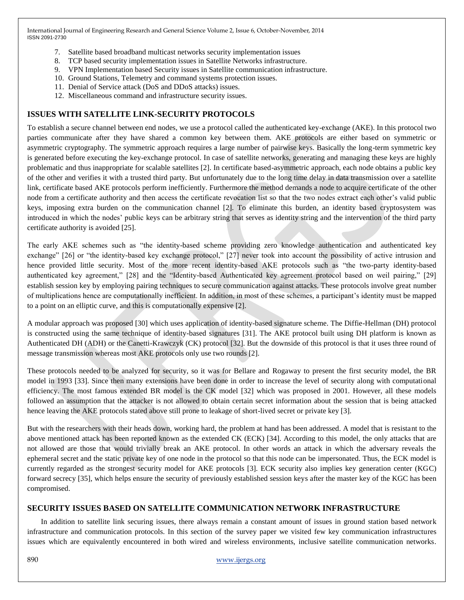- 7. Satellite based broadband multicast networks security implementation issues
- 8. TCP based security implementation issues in Satellite Networks infrastructure.
- 9. VPN Implementation based Security issues in Satellite communication infrastructure.
- 10. Ground Stations, Telemetry and command systems protection issues.
- 11. Denial of Service attack (DoS and DDoS attacks) issues.
- 12. Miscellaneous command and infrastructure security issues.

# **ISSUES WITH SATELLITE LINK-SECURITY PROTOCOLS**

To establish a secure channel between end nodes, we use a protocol called the authenticated key-exchange (AKE). In this protocol two parties communicate after they have shared a common key between them. AKE protocols are either based on symmetric or asymmetric cryptography. The symmetric approach requires a large number of pairwise keys. Basically the long-term symmetric key is generated before executing the key-exchange protocol. In case of satellite networks, generating and managing these keys are highly problematic and thus inappropriate for scalable satellites [2]. In certificate based-asymmetric approach, each node obtains a public key of the other and verifies it with a trusted third party. But unfortunately due to the long time delay in data transmission over a satellite link, certificate based AKE protocols perform inefficiently. Furthermore the method demands a node to acquire certificate of the other node from a certificate authority and then access the certificate revocation list so that the two nodes extract each other's valid public keys, imposing extra burden on the communication channel [2]. To eliminate this burden, an identity based cryptosystem was introduced in which the nodes' public keys can be arbitrary string that serves as identity string and the intervention of the third party certificate authority is avoided [25].

The early AKE schemes such as "the identity-based scheme providing zero knowledge authentication and authenticated key exchange" [26] or "the identity-based key exchange protocol," [27] never took into account the possibility of active intrusion and hence provided little security. Most of the more recent identity-based AKE protocols such as "the two-party identity-based authenticated key agreement," [28] and the "Identity-based Authenticated key agreement protocol based on weil pairing," [29] establish session key by employing pairing techniques to secure communication against attacks. These protocols involve great number of multiplications hence are computationally inefficient. In addition, in most of these schemes, a participant's identity must be mapped to a point on an elliptic curve, and this is computationally expensive [2].

A modular approach was proposed [30] which uses application of identity-based signature scheme. The Diffie-Hellman (DH) protocol is constructed using the same technique of identity-based signatures [31]. The AKE protocol built using DH platform is known as Authenticated DH (ADH) or the Canetti-Krawczyk (CK) protocol [32]. But the downside of this protocol is that it uses three round of message transmission whereas most AKE protocols only use two rounds [2].

These protocols needed to be analyzed for security, so it was for Bellare and Rogaway to present the first security model, the BR model in 1993 [33]. Since then many extensions have been done in order to increase the level of security along with computational efficiency. The most famous extended BR model is the CK model [32] which was proposed in 2001. However, all these models followed an assumption that the attacker is not allowed to obtain certain secret information about the session that is being attacked hence leaving the AKE protocols stated above still prone to leakage of short-lived secret or private key [3].

But with the researchers with their heads down, working hard, the problem at hand has been addressed. A model that is resistant to the above mentioned attack has been reported known as the extended CK (ECK) [34]. According to this model, the only attacks that are not allowed are those that would trivially break an AKE protocol. In other words an attack in which the adversary reveals the ephemeral secret and the static private key of one node in the protocol so that this node can be impersonated. Thus, the ECK model is currently regarded as the strongest security model for AKE protocols [3]. ECK security also implies key generation center (KGC) forward secrecy [35], which helps ensure the security of previously established session keys after the master key of the KGC has been compromised.

# **SECURITY ISSUES BASED ON SATELLITE COMMUNICATION NETWORK INFRASTRUCTURE**

In addition to satellite link securing issues, there always remain a constant amount of issues in ground station based network infrastructure and communication protocols. In this section of the survey paper we visited few key communication infrastructures issues which are equivalently encountered in both wired and wireless environments, inclusive satellite communication networks.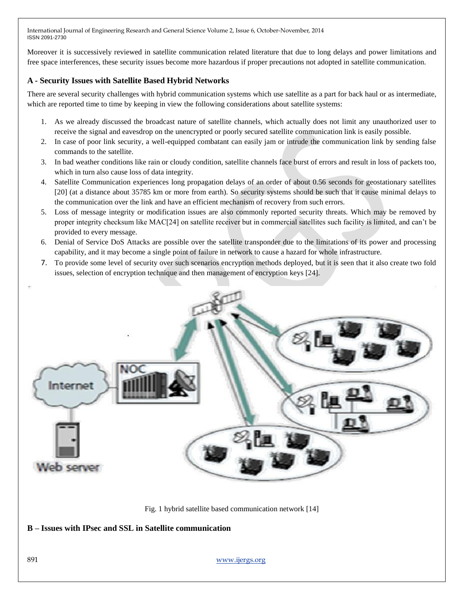Moreover it is successively reviewed in satellite communication related literature that due to long delays and power limitations and free space interferences, these security issues become more hazardous if proper precautions not adopted in satellite communication.

# **A - Security Issues with Satellite Based Hybrid Networks**

There are several security challenges with hybrid communication systems which use satellite as a part for back haul or as intermediate, which are reported time to time by keeping in view the following considerations about satellite systems:

- 1. As we already discussed the broadcast nature of satellite channels, which actually does not limit any unauthorized user to receive the signal and eavesdrop on the unencrypted or poorly secured satellite communication link is easily possible.
- 2. In case of poor link security, a well-equipped combatant can easily jam or intrude the communication link by sending false commands to the satellite.
- 3. In bad weather conditions like rain or cloudy condition, satellite channels face burst of errors and result in loss of packets too, which in turn also cause loss of data integrity.
- 4. Satellite Communication experiences long propagation delays of an order of about 0.56 seconds for geostationary satellites [20] (at a distance about 35785 km or more from earth). So security systems should be such that it cause minimal delays to the communication over the link and have an efficient mechanism of recovery from such errors.
- 5. Loss of message integrity or modification issues are also commonly reported security threats. Which may be removed by proper integrity checksum like MAC[24] on satellite receiver but in commercial satellites such facility is limited, and can't be provided to every message.
- 6. Denial of Service DoS Attacks are possible over the satellite transponder due to the limitations of its power and processing capability, and it may become a single point of failure in network to cause a hazard for whole infrastructure.
- 7. To provide some level of security over such scenarios encryption methods deployed, but it is seen that it also create two fold issues, selection of encryption technique and then management of encryption keys [24].



Fig. 1 hybrid satellite based communication network [14]

**B – Issues with IPsec and SSL in Satellite communication**

891 www.ijergs.org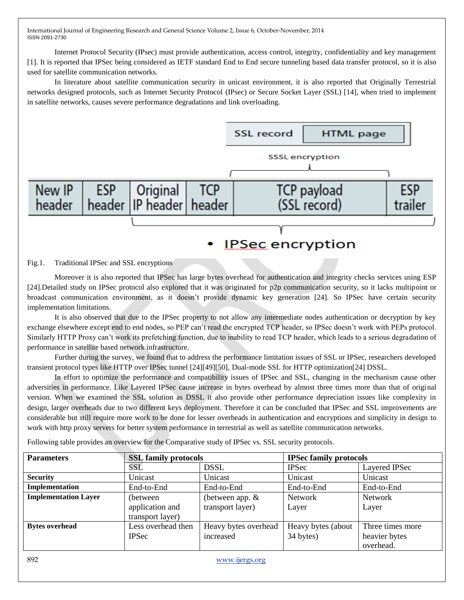Internet Protocol Security (IPsec) must provide authentication, access control, integrity, confidentiality and key management [1]. It is reported that IPSec being considered as IETF standard End to End secure tunneling based data transfer protocol, so it is also used for satellite communication networks.

In literature about satellite communication security in unicast environment, it is also reported that Originally Terrestrial networks designed protocols, such as Internet Security Protocol (IPsec) or Secure Socket Layer (SSL) [14], when tried to implement in satellite networks, causes severe performance degradations and link overloading.



#### Fig.1. Traditional IPSec and SSL encryptions

Moreover it is also reported that IPSec has large bytes overhead for authentication and integrity checks services using ESP [24].Detailed study on IPSec protocol also explored that it was originated for p2p communication security, so it lacks multipoint or broadcast communication environment, as it doesn't provide dynamic key generation [24]. So IPSec have certain security implementation limitations.

It is also observed that due to the IPSec property to not allow any intermediate nodes authentication or decryption by key exchange elsewhere except end to end nodes, so PEP can't read the encrypted TCP header, so IPSec doesn't work with PEPs protocol. Similarly HTTP Proxy can't work its prefetching function, due to inability to read TCP header, which leads to a serious degradation of performance in satellite based network infrastructure.

Further during the survey, we found that to address the performance limitation issues of SSL or IPSec, researchers developed transient protocol types like HTTP over IPSec tunnel [24][49][50], Dual-mode SSL for HTTP optimization[24] DSSL.

In effort to optimize the performance and compatibility issues of IPSec and SSL, changing in the mechanism cause other adversities in performance. Like Layered IPSec cause increase in bytes overhead by almost three times more than that of original version. When we examined the SSL solution as DSSL it also provide other performance depreciation issues like complexity in design, larger overheads due to two different keys deployment. Therefore it can be concluded that IPSec and SSL improvements are considerable but still require more work to be done for lesser overheads in authentication and encryptions and simplicity in design to work with http proxy servers for better system performance in terrestrial as well as satellite communication networks.

Following table provides an overview for the Comparative study of IPSec vs. SSL security protocols.

| <b>Parameters</b>           | <b>SSL family protocols</b> |                      | <b>IPSec family protocols</b> |                  |
|-----------------------------|-----------------------------|----------------------|-------------------------------|------------------|
|                             | SSL                         | <b>DSSL</b>          | <b>IPSec</b>                  | Layered IPSec    |
| <b>Security</b>             | Unicast                     | Unicast              | Unicast                       | Unicast          |
| Implementation              | End-to-End                  | End-to-End           | End-to-End                    | End-to-End       |
| <b>Implementation Layer</b> | (between)                   | (between app. $&$    | <b>Network</b>                | <b>Network</b>   |
|                             | application and             | transport layer)     | Layer                         | Layer            |
|                             | transport layer)            |                      |                               |                  |
| <b>Bytes overhead</b>       | Less overhead then          | Heavy bytes overhead | Heavy bytes (about            | Three times more |
|                             | <b>IPSec</b>                | increased            | 34 bytes)                     | heavier bytes    |
|                             |                             |                      |                               | overhead.        |
| 892                         |                             | www.ijergs.org       |                               |                  |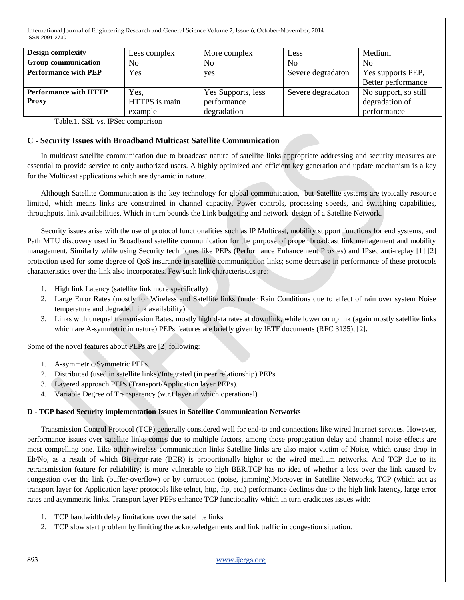| <b>Design complexity</b>                     | Less complex                     | More complex                                     | Less              | Medium                                                |
|----------------------------------------------|----------------------------------|--------------------------------------------------|-------------------|-------------------------------------------------------|
| <b>Group communication</b>                   | N <sub>0</sub>                   | N <sub>0</sub>                                   | N <sub>0</sub>    | N <sub>0</sub>                                        |
| <b>Performance with PEP</b>                  | Yes                              | yes                                              | Severe degradaton | Yes supports PEP,<br>Better performance               |
| <b>Performance with HTTP</b><br><b>Proxy</b> | Yes,<br>HTTPS is main<br>example | Yes Supports, less<br>performance<br>degradation | Severe degradaton | No support, so still<br>degradation of<br>performance |

Table.1. SSL vs. IPSec comparison

### **C - Security Issues with Broadband Multicast Satellite Communication**

In multicast satellite communication due to broadcast nature of satellite links appropriate addressing and security measures are essential to provide service to only authorized users. A highly optimized and efficient key generation and update mechanism is a key for the Multicast applications which are dynamic in nature.

Although Satellite Communication is the key technology for global communication, but Satellite systems are typically resource limited, which means links are constrained in channel capacity, Power controls, processing speeds, and switching capabilities, throughputs, link availabilities, Which in turn bounds the Link budgeting and network design of a Satellite Network.

Security issues arise with the use of protocol functionalities such as IP Multicast, mobility support functions for end systems, and Path MTU discovery used in Broadband satellite communication for the purpose of proper broadcast link management and mobility management. Similarly while using Security techniques like PEPs (Performance Enhancement Proxies) and IPsec anti-replay [1] [2] protection used for some degree of QoS insurance in satellite communication links; some decrease in performance of these protocols characteristics over the link also incorporates. Few such link characteristics are:

- 1. High link Latency (satellite link more specifically)
- 2. Large Error Rates (mostly for Wireless and Satellite links (under Rain Conditions due to effect of rain over system Noise temperature and degraded link availability)
- 3. Links with unequal transmission Rates, mostly high data rates at downlink, while lower on uplink (again mostly satellite links which are A-symmetric in nature) PEPs features are briefly given by IETF documents (RFC 3135), [2].

Some of the novel features about PEPs are [2] following:

- 1. A-symmetric/Symmetric PEPs.
- 2. Distributed (used in satellite links)/Integrated (in peer relationship) PEPs.
- 3. Layered approach PEPs (Transport/Application layer PEPs).
- 4. Variable Degree of Transparency (w.r.t layer in which operational)

#### **D - TCP based Security implementation Issues in Satellite Communication Networks**

Transmission Control Protocol (TCP) generally considered well for end-to end connections like wired Internet services. However, performance issues over satellite links comes due to multiple factors, among those propagation delay and channel noise effects are most compelling one. Like other wireless communication links Satellite links are also major victim of Noise, which cause drop in Eb/No, as a result of which Bit-error-rate (BER) is proportionally higher to the wired medium networks. And TCP due to its retransmission feature for reliability; is more vulnerable to high BER.TCP has no idea of whether a loss over the link caused by congestion over the link (buffer-overflow) or by corruption (noise, jamming).Moreover in Satellite Networks, TCP (which act as transport layer for Application layer protocols like telnet, http, ftp, etc.) performance declines due to the high link latency, large error rates and asymmetric links. Transport layer PEPs enhance TCP functionality which in turn eradicates issues with:

- 1. TCP bandwidth delay limitations over the satellite links
- 2. TCP slow start problem by limiting the acknowledgements and link traffic in congestion situation.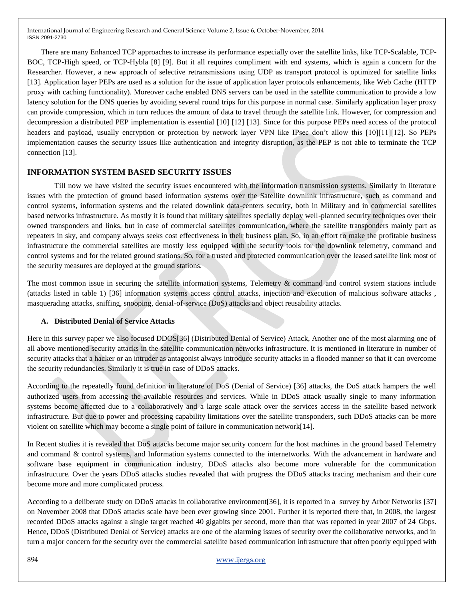There are many Enhanced TCP approaches to increase its performance especially over the satellite links, like TCP-Scalable, TCP-BOC, TCP-High speed, or TCP-Hybla [8] [9]. But it all requires compliment with end systems, which is again a concern for the Researcher. However, a new approach of selective retransmissions using UDP as transport protocol is optimized for satellite links [13]. Application layer PEPs are used as a solution for the issue of application layer protocols enhancements, like Web Cache (HTTP proxy with caching functionality). Moreover cache enabled DNS servers can be used in the satellite communication to provide a low latency solution for the DNS queries by avoiding several round trips for this purpose in normal case. Similarly application layer proxy can provide compression, which in turn reduces the amount of data to travel through the satellite link. However, for compression and decompression a distributed PEP implementation is essential [10] [12] [13]. Since for this purpose PEPs need access of the protocol headers and payload, usually encryption or protection by network layer VPN like IPsec don't allow this [10][11][12]. So PEPs implementation causes the security issues like authentication and integrity disruption, as the PEP is not able to terminate the TCP connection [13].

### **INFORMATION SYSTEM BASED SECURITY ISSUES**

Till now we have visited the security issues encountered with the information transmission systems. Similarly in literature issues with the protection of ground based information systems over the Satellite downlink infrastructure, such as command and control systems, information systems and the related downlink data-centers security, both in Military and in commercial satellites based networks infrastructure. As mostly it is found that military satellites specially deploy well-planned security techniques over their owned transponders and links, but in case of commercial satellites communication, where the satellite transponders mainly part as repeaters in sky, and company always seeks cost effectiveness in their business plan. So, in an effort to make the profitable business infrastructure the commercial satellites are mostly less equipped with the security tools for the downlink telemetry, command and control systems and for the related ground stations. So, for a trusted and protected communication over the leased satellite link most of the security measures are deployed at the ground stations.

The most common issue in securing the satellite information systems, Telemetry & command and control system stations include (attacks listed in table 1) [36] information systems access control attacks, injection and execution of malicious software attacks , masquerading attacks, sniffing, snooping, denial-of-service (DoS) attacks and object reusability attacks.

#### **A. Distributed Denial of Service Attacks**

Here in this survey paper we also focused DDOS[36] (Distributed Denial of Service) Attack, Another one of the most alarming one of all above mentioned security attacks in the satellite communication networks infrastructure. It is mentioned in literature in number of security attacks that a hacker or an intruder as antagonist always introduce security attacks in a flooded manner so that it can overcome the security redundancies. Similarly it is true in case of DDoS attacks.

According to the repeatedly found definition in literature of DoS (Denial of Service) [36] attacks, the DoS attack hampers the well authorized users from accessing the available resources and services. While in DDoS attack usually single to many information systems become affected due to a collaboratively and a large scale attack over the services access in the satellite based network infrastructure. But due to power and processing capability limitations over the satellite transponders, such DDoS attacks can be more violent on satellite which may become a single point of failure in communication network[14].

In Recent studies it is revealed that DoS attacks become major security concern for the host machines in the ground based Telemetry and command & control systems, and Information systems connected to the internetworks. With the advancement in hardware and software base equipment in communication industry, DDoS attacks also become more vulnerable for the communication infrastructure. Over the years DDoS attacks studies revealed that with progress the DDoS attacks tracing mechanism and their cure become more and more complicated process.

According to a deliberate study on DDoS attacks in collaborative environment[36], it is reported in a survey by Arbor Networks [37] on November 2008 that DDoS attacks scale have been ever growing since 2001. Further it is reported there that, in 2008, the largest recorded DDoS attacks against a single target reached 40 gigabits per second, more than that was reported in year 2007 of 24 Gbps. Hence, DDoS (Distributed Denial of Service) attacks are one of the alarming issues of security over the collaborative networks, and in turn a major concern for the security over the commercial satellite based communication infrastructure that often poorly equipped with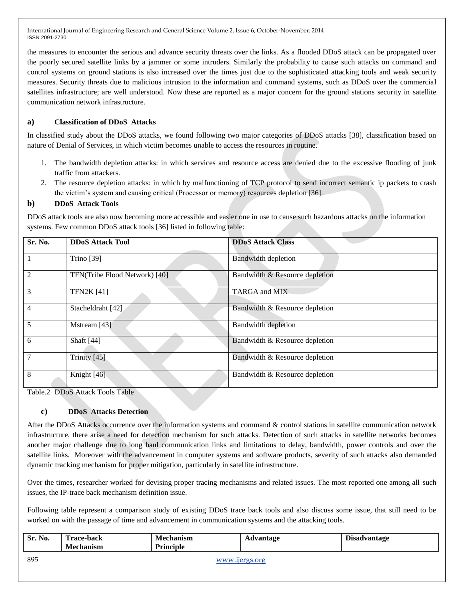the measures to encounter the serious and advance security threats over the links. As a flooded DDoS attack can be propagated over the poorly secured satellite links by a jammer or some intruders. Similarly the probability to cause such attacks on command and control systems on ground stations is also increased over the times just due to the sophisticated attacking tools and weak security measures. Security threats due to malicious intrusion to the information and command systems, such as DDoS over the commercial satellites infrastructure; are well understood. Now these are reported as a major concern for the ground stations security in satellite communication network infrastructure.

# **a) Classification of DDoS Attacks**

In classified study about the DDoS attacks, we found following two major categories of DDoS attacks [38], classification based on nature of Denial of Services, in which victim becomes unable to access the resources in routine.

- 1. The bandwidth depletion attacks: in which services and resource access are denied due to the excessive flooding of junk traffic from attackers.
- 2. The resource depletion attacks: in which by malfunctioning of TCP protocol to send incorrect semantic ip packets to crash the victim's system and causing critical (Processor or memory) resources depletion [36].

### **b) DDoS Attack Tools**

DDoS attack tools are also now becoming more accessible and easier one in use to cause such hazardous attacks on the information systems. Few common DDoS attack tools [36] listed in following table:

| Sr. No.        | <b>DDoS Attack Tool</b>       | <b>DDoS Attack Class</b>       |
|----------------|-------------------------------|--------------------------------|
|                | <b>Trino</b> [39]             | <b>Bandwidth depletion</b>     |
| $\overline{2}$ | TFN(Tribe Flood Network) [40] | Bandwidth & Resource depletion |
| 3              | <b>TFN2K [41]</b>             | TARGA and MIX                  |
| $\overline{4}$ | Stacheldraht [42]             | Bandwidth & Resource depletion |
| 5              | Mstream [43]                  | <b>Bandwidth depletion</b>     |
| 6              | Shaft [44]                    | Bandwidth & Resource depletion |
| $\overline{7}$ | Trinity [45]                  | Bandwidth & Resource depletion |
| 8              | Knight [46]                   | Bandwidth & Resource depletion |

Table.2 DDoS Attack Tools Table

## **c) DDoS Attacks Detection**

After the DDoS Attacks occurrence over the information systems and command & control stations in satellite communication network infrastructure, there arise a need for detection mechanism for such attacks. Detection of such attacks in satellite networks becomes another major challenge due to long haul communication links and limitations to delay, bandwidth, power controls and over the satellite links. Moreover with the advancement in computer systems and software products, severity of such attacks also demanded dynamic tracking mechanism for proper mitigation, particularly in satellite infrastructure.

Over the times, researcher worked for devising proper tracing mechanisms and related issues. The most reported one among all such issues, the IP-trace back mechanism definition issue.

Following table represent a comparison study of existing DDoS trace back tools and also discuss some issue, that still need to be worked on with the passage of time and advancement in communication systems and the attacking tools.

| Sr. No. | <b>Trace-back</b><br><b>Mechanism</b> | <b>Mechanism</b><br><b>Principle</b> | Advantage | <b>Disadvantage</b> |
|---------|---------------------------------------|--------------------------------------|-----------|---------------------|
| 895     | www.ijergs.org                        |                                      |           |                     |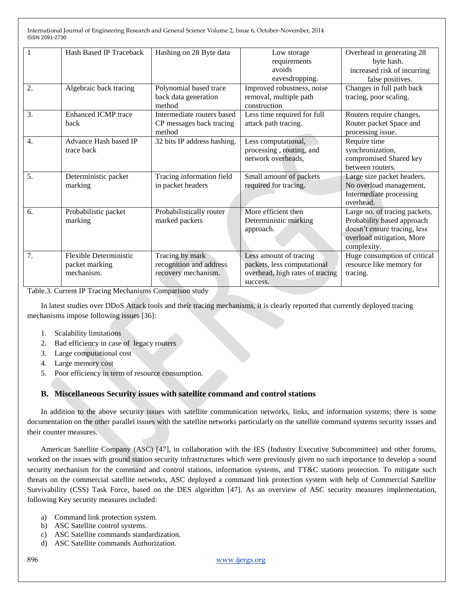|                  | Hash Based IP Traceback    | Hashing on 28 Byte data     | Low storage                     | Overhead in generating 28     |
|------------------|----------------------------|-----------------------------|---------------------------------|-------------------------------|
|                  |                            |                             | requirements                    | byte hash.                    |
|                  |                            |                             | avoids                          | increased risk of incurring   |
|                  |                            |                             | eavesdropping.                  | false positives.              |
| 2.               | Algebraic back tracing     | Polynomial based trace      | Improved robustness, noise      | Changes in full path back     |
|                  |                            | back data generation        | removal, multiple path          | tracing, poor scaling.        |
|                  |                            | method                      | construction                    |                               |
| 3.               | <b>Enhanced ICMP</b> trace | Intermediate routers based  | Less time required for full     | Routers require changes,      |
|                  | <b>back</b>                | CP messages back tracing    | attack path tracing.            | Router packet Space and       |
|                  |                            | method                      |                                 | processing issue.             |
| $\overline{4}$ . | Advance Hash based IP      | 32 bits IP address hashing. | Less computational,             | Require time                  |
|                  | trace back                 |                             | processing, routing, and        | synchronization,              |
|                  |                            |                             | network overheads,              | compromised Shared key        |
|                  |                            |                             |                                 | between routers.              |
| 5 <sub>1</sub>   | Deterministic packet       | Tracing information field   | Small amount of packets         | Large size packet headers.    |
|                  | marking                    | in packet headers           | required for tracing.           | No overload management,       |
|                  |                            |                             |                                 | Intermediate processing       |
|                  |                            |                             |                                 | overhead.                     |
| 6.               | Probabilistic packet       | Probabilistically router    | More efficient then             | Large no. of tracing packets, |
|                  | marking                    | marked packets              | Deterministic marking           | Probability based approach    |
|                  |                            |                             | approach.                       | doesn't ensure tracing, less  |
|                  |                            |                             |                                 | overload mitigation, More     |
|                  |                            |                             |                                 | complexity.                   |
| 7.               | Flexible Deterministic     | Tracing by mark             | Less amount of tracing          | Huge consumption of critical  |
|                  | packet marking             | recognition and address     | packets, less computational     | resource like memory for      |
|                  | mechanism.                 | recovery mechanism.         | overhead, high rates of tracing | tracing.                      |
|                  |                            |                             | success.                        |                               |

Table.3. Current IP Tracing Mechanisms Comparison study

In latest studies over DDoS Attack tools and their tracing mechanisms, it is clearly reported that currently deployed tracing mechanisms impose following issues [36]:

- 1. Scalability limitations
- 2. Bad efficiency in case of legacy routers
- 3. Large computational cost
- 4. Large memory cost
- 5. Poor efficiency in term of resource consumption.

#### **B. Miscellaneous Security issues with satellite command and control stations**

In addition to the above security issues with satellite communication networks, links, and information systems; there is some documentation on the other parallel issues with the satellite networks particularly on the satellite command systems security issues and their counter measures.

American Satellite Company (ASC) [47], in collaboration with the IES (Industry Executive Subcommittee) and other forums, worked on the issues with ground station security infrastructures which were previously given no such importance to develop a sound security mechanism for the command and control stations, information systems, and TT&C stations protection. To mitigate such threats on the commercial satellite networks, ASC deployed a command link protection system with help of Commercial Satellite Survivability (CSS) Task Force, based on the DES algorithm [47]. As an overview of ASC security measures implementation, following Key security measures included:

- a) Command link protection system.
- b) ASC Satellite control systems.
- c) ASC Satellite commands standardization.
- d) ASC Satellite commands Authorization.

896 www.ijergs.org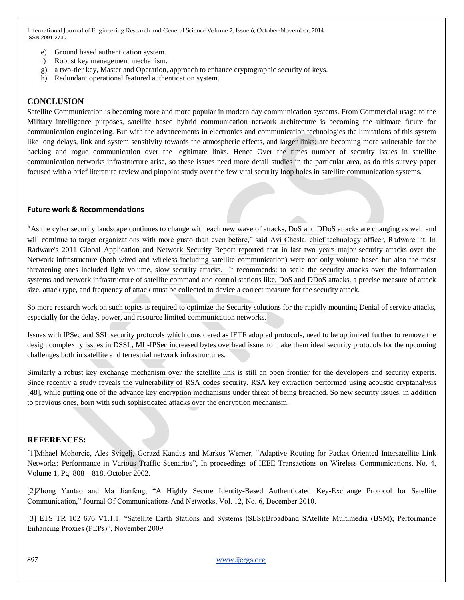- e) Ground based authentication system.
- f) Robust key management mechanism.
- g) a two-tier key, Master and Operation, approach to enhance cryptographic security of keys.
- h) Redundant operational featured authentication system.

### **CONCLUSION**

Satellite Communication is becoming more and more popular in modern day communication systems. From Commercial usage to the Military intelligence purposes, satellite based hybrid communication network architecture is becoming the ultimate future for communication engineering. But with the advancements in electronics and communication technologies the limitations of this system like long delays, link and system sensitivity towards the atmospheric effects, and larger links; are becoming more vulnerable for the hacking and rogue communication over the legitimate links. Hence Over the times number of security issues in satellite communication networks infrastructure arise, so these issues need more detail studies in the particular area, as do this survey paper focused with a brief literature review and pinpoint study over the few vital security loop holes in satellite communication systems.

#### **Future work & Recommendations**

"As the cyber security landscape continues to change with each new wave of attacks, DoS and DDoS attacks are changing as well and will continue to target organizations with more gusto than even before," said Avi Chesla, chief technology officer, Radware.int. In Radware's 2011 Global Application and Network Security Report reported that in last two years major security attacks over the Network infrastructure (both wired and wireless including satellite communication) were not only volume based but also the most threatening ones included light volume, slow security attacks. It recommends: to scale the security attacks over the information systems and network infrastructure of satellite command and control stations like, DoS and DDoS attacks, a precise measure of attack size, attack type, and frequency of attack must be collected to device a correct measure for the security attack.

So more research work on such topics is required to optimize the Security solutions for the rapidly mounting Denial of service attacks, especially for the delay, power, and resource limited communication networks.

Issues with IPSec and SSL security protocols which considered as IETF adopted protocols, need to be optimized further to remove the design complexity issues in DSSL, ML-IPSec increased bytes overhead issue, to make them ideal security protocols for the upcoming challenges both in satellite and terrestrial network infrastructures.

Similarly a robust key exchange mechanism over the satellite link is still an open frontier for the developers and security experts. Since recently a study reveals the vulnerability of RSA codes security. RSA key extraction performed using acoustic cryptanalysis [48], while putting one of the advance key encryption mechanisms under threat of being breached. So new security issues, in addition to previous ones, born with such sophisticated attacks over the encryption mechanism.

#### **REFERENCES:**

[1]Mihael Mohorcic, Ales Svigelj, Gorazd Kandus and Markus Werner, "Adaptive Routing for Packet Oriented Intersatellite Link Networks: Performance in Various Traffic Scenarios", In proceedings of IEEE Transactions on Wireless Communications, No. 4, Volume 1, Pg. 808 – 818, October 2002.

[2]Zhong Yantao and Ma Jianfeng, "A Highly Secure Identity-Based Authenticated Key-Exchange Protocol for Satellite Communication," Journal Of Communications And Networks, Vol. 12, No. 6, December 2010.

[3] ETS TR 102 676 V1.1.1: "Satellite Earth Stations and Systems (SES);Broadband SAtellite Multimedia (BSM); Performance Enhancing Proxies (PEPs)", November 2009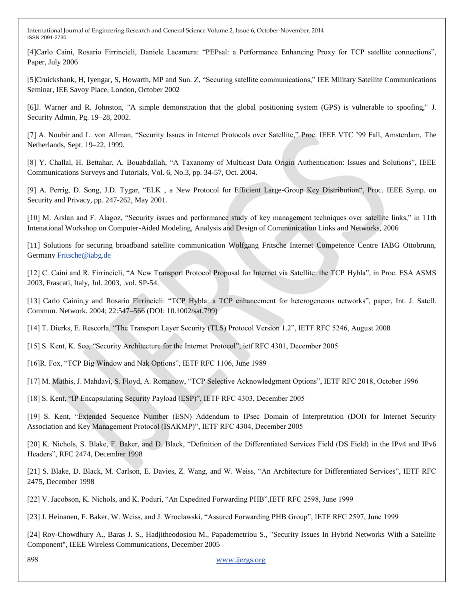[4]Carlo Caini, Rosario Firrincieli, Daniele Lacamera: "PEPsal: a Performance Enhancing Proxy for TCP satellite connections", Paper, July 2006

[5]Cruickshank, H, Iyengar, S, Howarth, MP and Sun. Z, "Securing satellite communications," IEE Military Satellite Communications Seminar, IEE Savoy Place, London, October 2002

[6]J. Warner and R. Johnston, "A simple demonstration that the global positioning system (GPS) is vulnerable to spoofing," J. Security Admin, Pg. 19–28, 2002.

[7] A. Noubir and L. von Allman, "Security Issues in Internet Protocols over Satellite," Proc. IEEE VTC '99 Fall, Amsterdam, The Netherlands, Sept. 19–22, 1999.

[8] Y. Challal, H. Bettahar, A. Bouabdallah, "A Taxanomy of Multicast Data Origin Authentication: Issues and Solutions", IEEE Communications Surveys and Tutorials, Vol. 6, No.3, pp. 34-57, Oct. 2004.

[9] A. Perrig, D. Song, J.D. Tygar, "ELK, a New Protocol for Efficient Large-Group Key Distribution", Proc. IEEE Symp. on Security and Privacy, pp. 247-262, May 2001.

[10] M. Arslan and F. Alagoz, "Security issues and performance study of key management techniques over satellite links," in 11th Intenational Workshop on Computer-Aided Modeling, Analysis and Design of Communication Links and Networks, 2006

[11] Solutions for securing broadband satellite communication Wolfgang Fritsche Internet Competence Centre IABG Ottobrunn, German[y Fritsche@iabg.de](mailto:Fritsche@iabg.de)

[12] C. Caini and R. Firrincieli, "A New Transport Protocol Proposal for Internet via Satellite: the TCP Hybla", in Proc. ESA ASMS 2003, Frascati, Italy, Jul. 2003, .vol. SP-54.

[13] Carlo Cainin,y and Rosario Firrincieli: "TCP Hybla: a TCP enhancement for heterogeneous networks", paper, Int. J. Satell. Commun. Network. 2004; 22:547–566 (DOI: 10.1002/sat.799)

[14] T. Dierks, E. Rescorla, "The Transport Layer Security (TLS) Protocol Version 1.2", IETF RFC 5246, August 2008

[15] S. Kent, K. Seo, "Security Architecture for the Internet Protocol", ietf RFC 4301, December 2005

[16]R. Fox, "TCP Big Window and Nak Options", IETF RFC 1106, June 1989

[17] M. Mathis, J. Mahdavi, S. Floyd, A. Romanow, "TCP Selective Acknowledgment Options", IETF RFC 2018, October 1996

[18] S. Kent, "IP Encapsulating Security Payload (ESP)", IETF RFC 4303, December 2005

[19] S. Kent, "Extended Sequence Number (ESN) Addendum to IPsec Domain of Interpretation (DOI) for Internet Security Association and Key Management Protocol (ISAKMP)", IETF RFC 4304, December 2005

[20] K. Nichols, S. Blake, F. Baker, and D. Black, "Definition of the Differentiated Services Field (DS Field) in the IPv4 and IPv6 Headers", RFC 2474, December 1998

[21] S. Blake, D. Black, M. Carlson, E. Davies, Z. Wang, and W. Weiss, "An Architecture for Differentiated Services", IETF RFC 2475, December 1998

[22] V. Jacobson, K. Nichols, and K. Poduri, "An Expedited Forwarding PHB", IETF RFC 2598, June 1999

[23] J. Heinanen, F. Baker, W. Weiss, and J. Wroclawski, "Assured Forwarding PHB Group", IETF RFC 2597, June 1999

[24] Roy-Chowdhury A., Baras J. S., Hadjitheodosiou M., Papademetriou S., "Security Issues In Hybrid Networks With a Satellite Component", IEEE Wireless Communications, December 2005

898 www.ijergs.org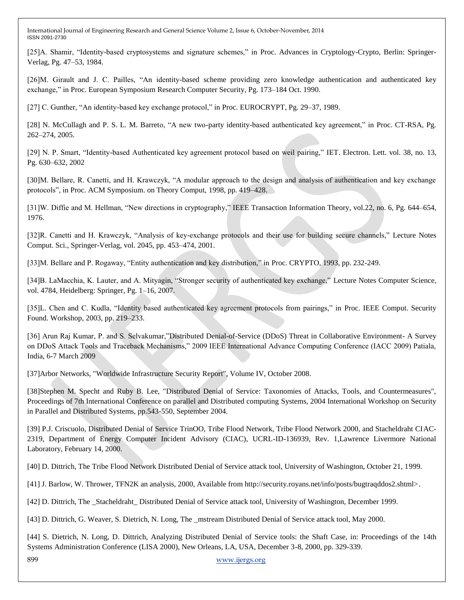[25]A. Shamir, "Identity-based cryptosystems and signature schemes," in Proc. Advances in Cryptology-Crypto, Berlin: Springer-Verlag, Pg. 47–53, 1984.

[26]M. Girault and J. C. Pailles, "An identity-based scheme providing zero knowledge authentication and authenticated key exchange," in Proc. European Symposium Research Computer Security, Pg. 173–184 Oct. 1990.

[27] C. Gunther, "An identity-based key exchange protocol," in Proc. EUROCRYPT, Pg. 29–37, 1989.

[28] N. McCullagh and P. S. L. M. Barreto, "A new two-party identity-based authenticated key agreement," in Proc. CT-RSA, Pg. 262–274, 2005.

[29] N. P. Smart, "Identity-based Authenticated key agreement protocol based on weil pairing," IET. Electron. Lett. vol. 38, no. 13, Pg. 630–632, 2002

[30]M. Bellare, R. Canetti, and H. Krawczyk, "A modular approach to the design and analysis of authentication and key exchange protocols‖, in Proc. ACM Symposium. on Theory Comput, 1998, pp. 419–428.

[31]W. Diffie and M. Hellman, "New directions in cryptography," IEEE Transaction Information Theory, vol.22, no. 6, Pg. 644–654, 1976.

[32]R. Canetti and H. Krawczyk, "Analysis of key-exchange protocols and their use for building secure channels," Lecture Notes Comput. Sci., Springer-Verlag, vol. 2045, pp. 453–474, 2001.

[33]M. Bellare and P. Rogaway, "Entity authentication and key distribution," in Proc. CRYPTO, 1993, pp. 232-249.

[34]B. LaMacchia, K. Lauter, and A. Mityagin, "Stronger security of authenticated key exchange," Lecture Notes Computer Science, vol. 4784, Heidelberg: Springer, Pg. 1–16, 2007.

[35]L. Chen and C. Kudla, "Identity based authenticated key agreement protocols from pairings," in Proc. IEEE Comput. Security Found. Workshop, 2003, pp. 219–233.

[36] Arun Raj Kumar, P. and S. Selvakumar,"Distributed Denial-of-Service (DDoS) Threat in Collaborative Environment- A Survey on DDoS Attack Tools and Traceback Mechanisms," 2009 IEEE International Advance Computing Conference (IACC 2009) Patiala, India, 6-7 March 2009

[37]Arbor Networks, "Worldwide Infrastructure Security Report", Volume IV, October 2008.

[38]Stephen M. Specht and Ruby B. Lee, "Distributed Denial of Service: Taxonomies of Attacks, Tools, and Countermeasures", Proceedings of 7th International Conference on parallel and Distributed computing Systems, 2004 International Workshop on Security in Parallel and Distributed Systems, pp.543-550, September 2004.

[39] P.J. Criscuolo, Distributed Denial of Service TrinOO, Tribe Flood Network, Tribe Flood Network 2000, and Stacheldraht CIAC-2319, Department of Energy Computer Incident Advisory (CIAC), UCRL-ID-136939, Rev. 1,Lawrence Livermore National Laboratory, February 14, 2000.

[40] D. Dittrich, The Tribe Flood Network Distributed Denial of Service attack tool, University of Washington, October 21, 1999.

[41] J. Barlow, W. Thrower, TFN2K an analysis, 2000, Available from http://security.royans.net/info/posts/bugtraqddos2.shtml>.

[42] D. Dittrich, The \_Stacheldraht\_ Distributed Denial of Service attack tool, University of Washington, December 1999.

[43] D. Dittrich, G. Weaver, S. Dietrich, N. Long, The \_mstream Distributed Denial of Service attack tool, May 2000.

899 www.ijergs.org [44] S. Dietrich, N. Long, D. Dittrich, Analyzing Distributed Denial of Service tools: the Shaft Case, in: Proceedings of the 14th Systems Administration Conference (LISA 2000), New Orleans, LA, USA, December 3-8, 2000, pp. 329-339.